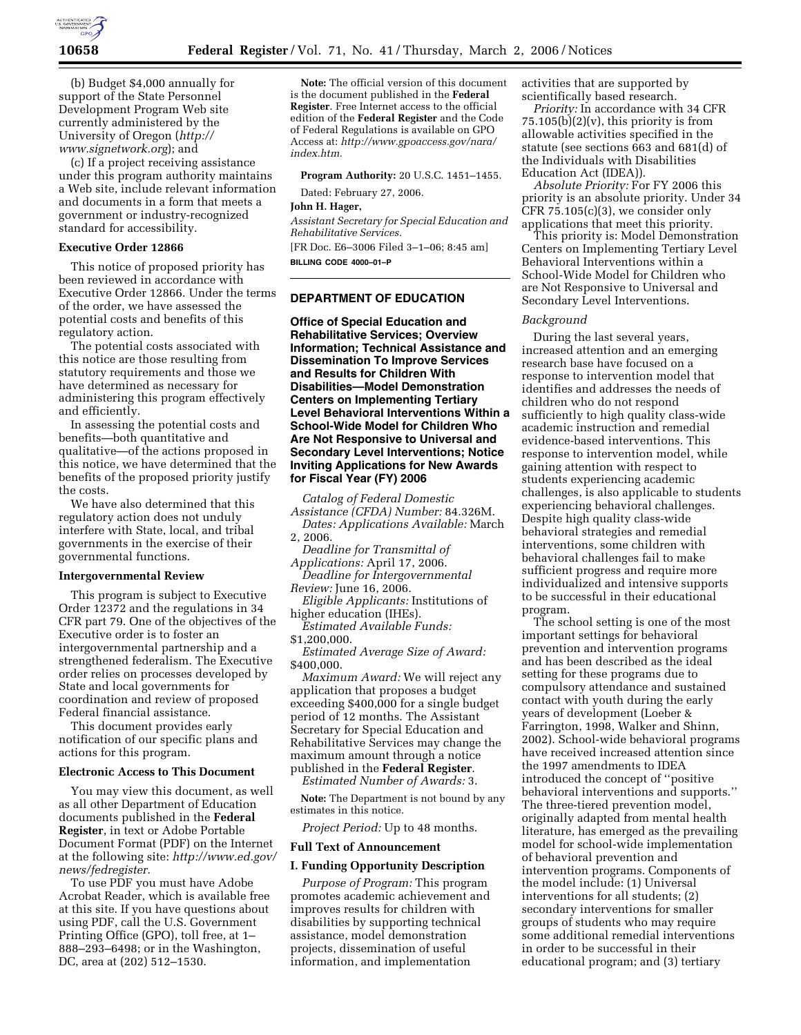

(b) Budget \$4,000 annually for support of the State Personnel Development Program Web site currently administered by the University of Oregon (*http:// www.signetwork.org*); and

(c) If a project receiving assistance under this program authority maintains a Web site, include relevant information and documents in a form that meets a government or industry-recognized standard for accessibility.

## **Executive Order 12866**

This notice of proposed priority has been reviewed in accordance with Executive Order 12866. Under the terms of the order, we have assessed the potential costs and benefits of this regulatory action.

The potential costs associated with this notice are those resulting from statutory requirements and those we have determined as necessary for administering this program effectively and efficiently.

In assessing the potential costs and benefits—both quantitative and qualitative—of the actions proposed in this notice, we have determined that the benefits of the proposed priority justify the costs.

We have also determined that this regulatory action does not unduly interfere with State, local, and tribal governments in the exercise of their governmental functions.

### **Intergovernmental Review**

This program is subject to Executive Order 12372 and the regulations in 34 CFR part 79. One of the objectives of the Executive order is to foster an intergovernmental partnership and a strengthened federalism. The Executive order relies on processes developed by State and local governments for coordination and review of proposed Federal financial assistance.

This document provides early notification of our specific plans and actions for this program.

### **Electronic Access to This Document**

You may view this document, as well as all other Department of Education documents published in the **Federal Register**, in text or Adobe Portable Document Format (PDF) on the Internet at the following site: *http://www.ed.gov/ news/fedregister.* 

To use PDF you must have Adobe Acrobat Reader, which is available free at this site. If you have questions about using PDF, call the U.S. Government Printing Office (GPO), toll free, at 1– 888–293–6498; or in the Washington, DC, area at (202) 512–1530.

**Note:** The official version of this document is the document published in the **Federal Register**. Free Internet access to the official edition of the **Federal Register** and the Code of Federal Regulations is available on GPO Access at: *http://www.gpoaccess.gov/nara/ index.htm.* 

**Program Authority:** 20 U.S.C. 1451–1455.

Dated: February 27, 2006.

# **John H. Hager,**

*Assistant Secretary for Special Education and Rehabilitative Services.*  [FR Doc. E6–3006 Filed 3–1–06; 8:45 am]

**BILLING CODE 4000–01–P** 

# **DEPARTMENT OF EDUCATION**

**Office of Special Education and Rehabilitative Services; Overview Information; Technical Assistance and Dissemination To Improve Services and Results for Children With Disabilities—Model Demonstration Centers on Implementing Tertiary Level Behavioral Interventions Within a School-Wide Model for Children Who Are Not Responsive to Universal and Secondary Level Interventions; Notice Inviting Applications for New Awards for Fiscal Year (FY) 2006** 

*Catalog of Federal Domestic Assistance (CFDA) Number:* 84.326M.

*Dates: Applications Available:* March 2, 2006.

*Deadline for Transmittal of Applications:* April 17, 2006.

*Deadline for Intergovernmental Review:* June 16, 2006.

*Eligible Applicants:* Institutions of higher education (IHEs).

*Estimated Available Funds:*  \$1,200,000

*Estimated Average Size of Award:*  \$400,000.

*Maximum Award:* We will reject any application that proposes a budget exceeding \$400,000 for a single budget period of 12 months. The Assistant Secretary for Special Education and Rehabilitative Services may change the maximum amount through a notice published in the **Federal Register**.

*Estimated Number of Awards:* 3.

**Note:** The Department is not bound by any estimates in this notice.

*Project Period:* Up to 48 months.

### **Full Text of Announcement**

#### **I. Funding Opportunity Description**

*Purpose of Program:* This program promotes academic achievement and improves results for children with disabilities by supporting technical assistance, model demonstration projects, dissemination of useful information, and implementation

activities that are supported by scientifically based research.

*Priority:* In accordance with 34 CFR  $75.105(b)(2)(v)$ , this priority is from allowable activities specified in the statute (see sections 663 and 681(d) of the Individuals with Disabilities Education Act (IDEA)).

*Absolute Priority:* For FY 2006 this priority is an absolute priority. Under 34 CFR 75.105(c)(3), we consider only applications that meet this priority.

This priority is: Model Demonstration Centers on Implementing Tertiary Level Behavioral Interventions within a School-Wide Model for Children who are Not Responsive to Universal and Secondary Level Interventions.

# *Background*

During the last several years, increased attention and an emerging research base have focused on a response to intervention model that identifies and addresses the needs of children who do not respond sufficiently to high quality class-wide academic instruction and remedial evidence-based interventions. This response to intervention model, while gaining attention with respect to students experiencing academic challenges, is also applicable to students experiencing behavioral challenges. Despite high quality class-wide behavioral strategies and remedial interventions, some children with behavioral challenges fail to make sufficient progress and require more individualized and intensive supports to be successful in their educational program.

The school setting is one of the most important settings for behavioral prevention and intervention programs and has been described as the ideal setting for these programs due to compulsory attendance and sustained contact with youth during the early years of development (Loeber & Farrington, 1998, Walker and Shinn, 2002). School-wide behavioral programs have received increased attention since the 1997 amendments to IDEA introduced the concept of ''positive behavioral interventions and supports.'' The three-tiered prevention model, originally adapted from mental health literature, has emerged as the prevailing model for school-wide implementation of behavioral prevention and intervention programs. Components of the model include: (1) Universal interventions for all students; (2) secondary interventions for smaller groups of students who may require some additional remedial interventions in order to be successful in their educational program; and (3) tertiary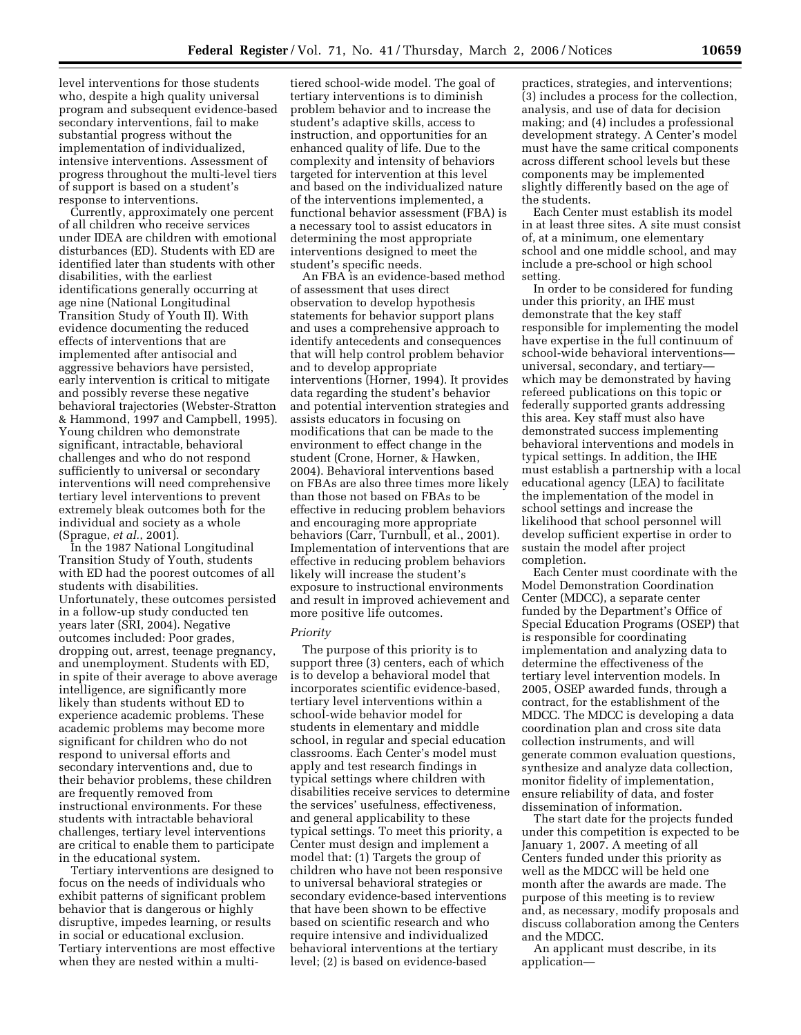level interventions for those students who, despite a high quality universal program and subsequent evidence-based secondary interventions, fail to make substantial progress without the implementation of individualized, intensive interventions. Assessment of progress throughout the multi-level tiers of support is based on a student's response to interventions.

Currently, approximately one percent of all children who receive services under IDEA are children with emotional disturbances (ED). Students with ED are identified later than students with other disabilities, with the earliest identifications generally occurring at age nine (National Longitudinal Transition Study of Youth II). With evidence documenting the reduced effects of interventions that are implemented after antisocial and aggressive behaviors have persisted, early intervention is critical to mitigate and possibly reverse these negative behavioral trajectories (Webster-Stratton & Hammond, 1997 and Campbell, 1995). Young children who demonstrate significant, intractable, behavioral challenges and who do not respond sufficiently to universal or secondary interventions will need comprehensive tertiary level interventions to prevent extremely bleak outcomes both for the individual and society as a whole (Sprague, *et al.*, 2001).

In the 1987 National Longitudinal Transition Study of Youth, students with ED had the poorest outcomes of all students with disabilities. Unfortunately, these outcomes persisted in a follow-up study conducted ten years later (SRI, 2004). Negative outcomes included: Poor grades, dropping out, arrest, teenage pregnancy, and unemployment. Students with ED, in spite of their average to above average intelligence, are significantly more likely than students without ED to experience academic problems. These academic problems may become more significant for children who do not respond to universal efforts and secondary interventions and, due to their behavior problems, these children are frequently removed from instructional environments. For these students with intractable behavioral challenges, tertiary level interventions are critical to enable them to participate in the educational system.

Tertiary interventions are designed to focus on the needs of individuals who exhibit patterns of significant problem behavior that is dangerous or highly disruptive, impedes learning, or results in social or educational exclusion. Tertiary interventions are most effective when they are nested within a multi-

tiered school-wide model. The goal of tertiary interventions is to diminish problem behavior and to increase the student's adaptive skills, access to instruction, and opportunities for an enhanced quality of life. Due to the complexity and intensity of behaviors targeted for intervention at this level and based on the individualized nature of the interventions implemented, a functional behavior assessment (FBA) is a necessary tool to assist educators in determining the most appropriate interventions designed to meet the student's specific needs.

An FBA is an evidence-based method of assessment that uses direct observation to develop hypothesis statements for behavior support plans and uses a comprehensive approach to identify antecedents and consequences that will help control problem behavior and to develop appropriate interventions (Horner, 1994). It provides data regarding the student's behavior and potential intervention strategies and assists educators in focusing on modifications that can be made to the environment to effect change in the student (Crone, Horner, & Hawken, 2004). Behavioral interventions based on FBAs are also three times more likely than those not based on FBAs to be effective in reducing problem behaviors and encouraging more appropriate behaviors (Carr, Turnbull, et al., 2001). Implementation of interventions that are effective in reducing problem behaviors likely will increase the student's exposure to instructional environments and result in improved achievement and more positive life outcomes.

## *Priority*

The purpose of this priority is to support three (3) centers, each of which is to develop a behavioral model that incorporates scientific evidence-based, tertiary level interventions within a school-wide behavior model for students in elementary and middle school, in regular and special education classrooms. Each Center's model must apply and test research findings in typical settings where children with disabilities receive services to determine the services' usefulness, effectiveness, and general applicability to these typical settings. To meet this priority, a Center must design and implement a model that: (1) Targets the group of children who have not been responsive to universal behavioral strategies or secondary evidence-based interventions that have been shown to be effective based on scientific research and who require intensive and individualized behavioral interventions at the tertiary level; (2) is based on evidence-based

practices, strategies, and interventions; (3) includes a process for the collection, analysis, and use of data for decision making; and (4) includes a professional development strategy. A Center's model must have the same critical components across different school levels but these components may be implemented slightly differently based on the age of the students.

Each Center must establish its model in at least three sites. A site must consist of, at a minimum, one elementary school and one middle school, and may include a pre-school or high school setting.

In order to be considered for funding under this priority, an IHE must demonstrate that the key staff responsible for implementing the model have expertise in the full continuum of school-wide behavioral interventions universal, secondary, and tertiary which may be demonstrated by having refereed publications on this topic or federally supported grants addressing this area. Key staff must also have demonstrated success implementing behavioral interventions and models in typical settings. In addition, the IHE must establish a partnership with a local educational agency (LEA) to facilitate the implementation of the model in school settings and increase the likelihood that school personnel will develop sufficient expertise in order to sustain the model after project completion.

Each Center must coordinate with the Model Demonstration Coordination Center (MDCC), a separate center funded by the Department's Office of Special Education Programs (OSEP) that is responsible for coordinating implementation and analyzing data to determine the effectiveness of the tertiary level intervention models. In 2005, OSEP awarded funds, through a contract, for the establishment of the MDCC. The MDCC is developing a data coordination plan and cross site data collection instruments, and will generate common evaluation questions, synthesize and analyze data collection, monitor fidelity of implementation, ensure reliability of data, and foster dissemination of information.

The start date for the projects funded under this competition is expected to be January 1, 2007. A meeting of all Centers funded under this priority as well as the MDCC will be held one month after the awards are made. The purpose of this meeting is to review and, as necessary, modify proposals and discuss collaboration among the Centers and the MDCC.

An applicant must describe, in its application—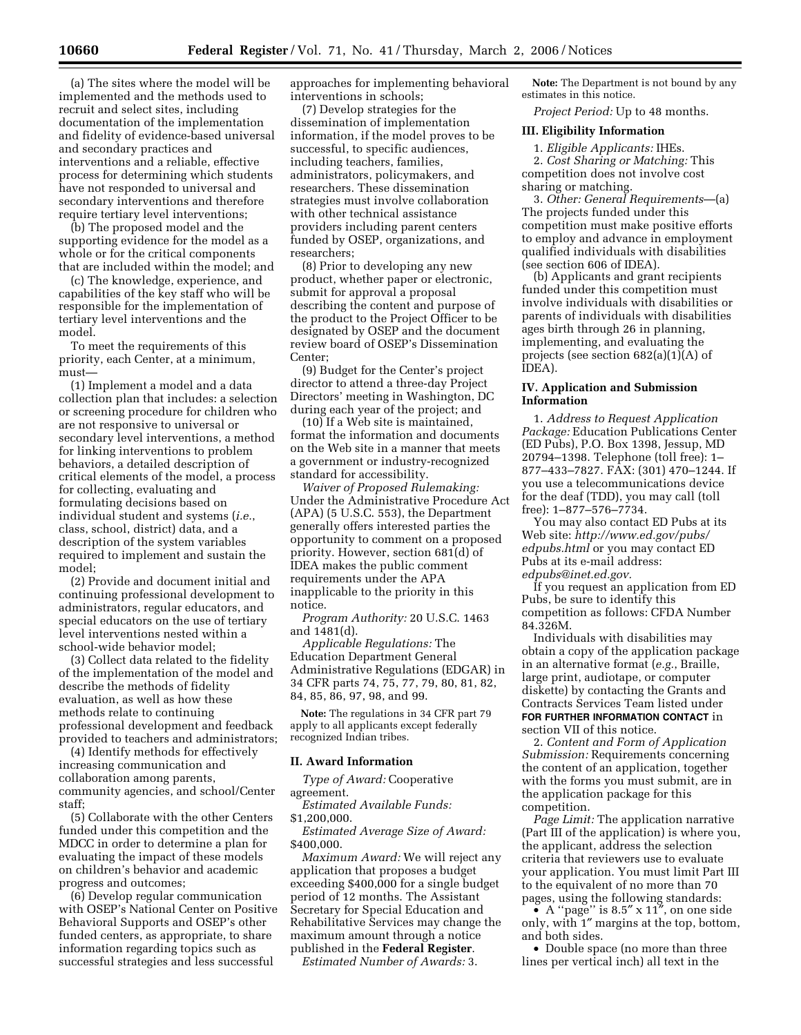(a) The sites where the model will be implemented and the methods used to recruit and select sites, including documentation of the implementation and fidelity of evidence-based universal and secondary practices and interventions and a reliable, effective process for determining which students have not responded to universal and secondary interventions and therefore require tertiary level interventions;

(b) The proposed model and the supporting evidence for the model as a whole or for the critical components that are included within the model; and

(c) The knowledge, experience, and capabilities of the key staff who will be responsible for the implementation of tertiary level interventions and the model.

To meet the requirements of this priority, each Center, at a minimum, must—

(1) Implement a model and a data collection plan that includes: a selection or screening procedure for children who are not responsive to universal or secondary level interventions, a method for linking interventions to problem behaviors, a detailed description of critical elements of the model, a process for collecting, evaluating and formulating decisions based on individual student and systems (*i.e.*, class, school, district) data, and a description of the system variables required to implement and sustain the model;

(2) Provide and document initial and continuing professional development to administrators, regular educators, and special educators on the use of tertiary level interventions nested within a school-wide behavior model;

(3) Collect data related to the fidelity of the implementation of the model and describe the methods of fidelity evaluation, as well as how these methods relate to continuing professional development and feedback provided to teachers and administrators;

(4) Identify methods for effectively increasing communication and collaboration among parents, community agencies, and school/Center staff;

(5) Collaborate with the other Centers funded under this competition and the MDCC in order to determine a plan for evaluating the impact of these models on children's behavior and academic progress and outcomes;

(6) Develop regular communication with OSEP's National Center on Positive Behavioral Supports and OSEP's other funded centers, as appropriate, to share information regarding topics such as successful strategies and less successful

approaches for implementing behavioral interventions in schools;

(7) Develop strategies for the dissemination of implementation information, if the model proves to be successful, to specific audiences, including teachers, families, administrators, policymakers, and researchers. These dissemination strategies must involve collaboration with other technical assistance providers including parent centers funded by OSEP, organizations, and researchers;

(8) Prior to developing any new product, whether paper or electronic, submit for approval a proposal describing the content and purpose of the product to the Project Officer to be designated by OSEP and the document review board of OSEP's Dissemination Center;

(9) Budget for the Center's project director to attend a three-day Project Directors' meeting in Washington, DC during each year of the project; and

(10) If a Web site is maintained, format the information and documents on the Web site in a manner that meets a government or industry-recognized standard for accessibility.

*Waiver of Proposed Rulemaking:*  Under the Administrative Procedure Act (APA) (5 U.S.C. 553), the Department generally offers interested parties the opportunity to comment on a proposed priority. However, section 681(d) of IDEA makes the public comment requirements under the APA inapplicable to the priority in this notice.

*Program Authority:* 20 U.S.C. 1463 and 1481(d).

*Applicable Regulations:* The Education Department General Administrative Regulations (EDGAR) in 34 CFR parts 74, 75, 77, 79, 80, 81, 82, 84, 85, 86, 97, 98, and 99.

**Note:** The regulations in 34 CFR part 79 apply to all applicants except federally recognized Indian tribes.

### **II. Award Information**

*Type of Award:* Cooperative agreement.

*Estimated Available Funds:* 

\$1,200,000.

*Estimated Average Size of Award:*  \$400,000.

*Maximum Award:* We will reject any application that proposes a budget exceeding \$400,000 for a single budget period of 12 months. The Assistant Secretary for Special Education and Rehabilitative Services may change the maximum amount through a notice published in the **Federal Register**.

*Estimated Number of Awards:* 3.

**Note:** The Department is not bound by any estimates in this notice.

*Project Period:* Up to 48 months.

### **III. Eligibility Information**

1. *Eligible Applicants:* IHEs.

2. *Cost Sharing or Matching:* This competition does not involve cost sharing or matching.

3. *Other: General Requirements*—(a) The projects funded under this competition must make positive efforts to employ and advance in employment qualified individuals with disabilities (see section 606 of IDEA).

(b) Applicants and grant recipients funded under this competition must involve individuals with disabilities or parents of individuals with disabilities ages birth through 26 in planning, implementing, and evaluating the projects (see section 682(a)(1)(A) of IDEA).

## **IV. Application and Submission Information**

1. *Address to Request Application Package:* Education Publications Center (ED Pubs), P.O. Box 1398, Jessup, MD 20794–1398. Telephone (toll free): 1– 877–433–7827. FAX: (301) 470–1244. If you use a telecommunications device for the deaf (TDD), you may call (toll free): 1–877–576–7734.

You may also contact ED Pubs at its Web site: *http://www.ed.gov/pubs/ edpubs.html* or you may contact ED Pubs at its e-mail address: *edpubs@inet.ed.gov.* 

If you request an application from ED Pubs, be sure to identify this competition as follows: CFDA Number 84.326M.

Individuals with disabilities may obtain a copy of the application package in an alternative format (*e.g.*, Braille, large print, audiotape, or computer diskette) by contacting the Grants and Contracts Services Team listed under **FOR FURTHER INFORMATION CONTACT** in section VII of this notice.

2. *Content and Form of Application Submission:* Requirements concerning the content of an application, together with the forms you must submit, are in the application package for this competition.

*Page Limit:* The application narrative (Part III of the application) is where you, the applicant, address the selection criteria that reviewers use to evaluate your application. You must limit Part III to the equivalent of no more than 70 pages, using the following standards:

• A "page" is  $8.5'' \times 11''$ , on one side only, with 1″ margins at the top, bottom, and both sides.

• Double space (no more than three lines per vertical inch) all text in the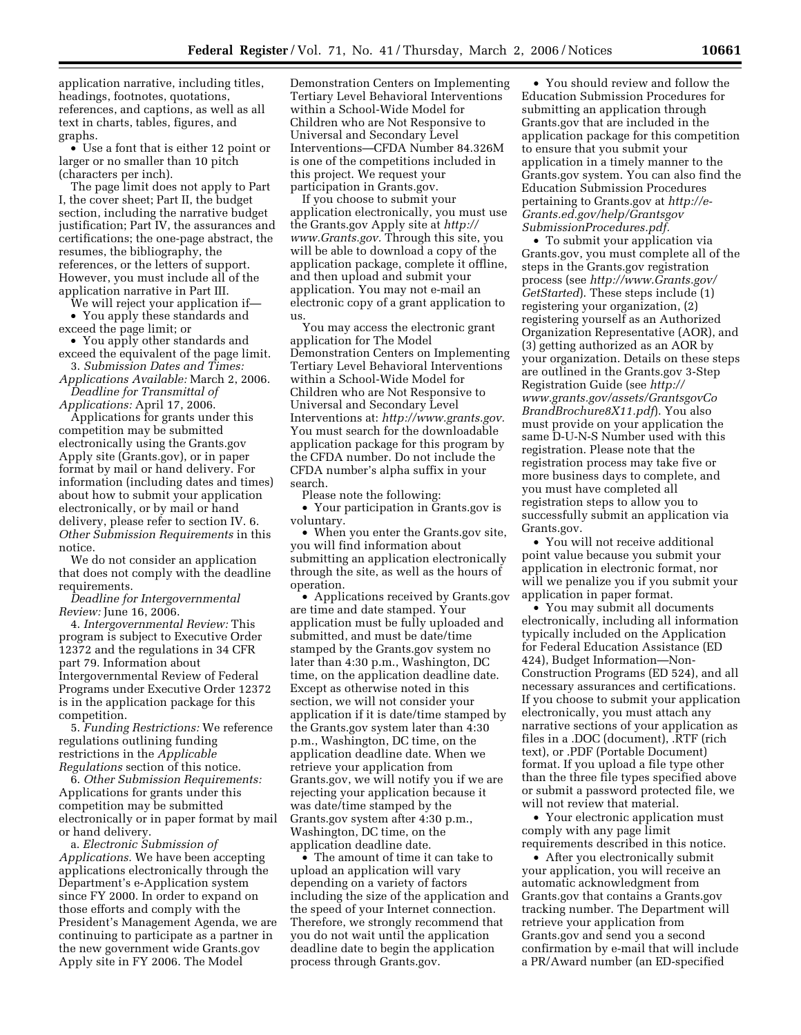application narrative, including titles, headings, footnotes, quotations, references, and captions, as well as all text in charts, tables, figures, and graphs.

• Use a font that is either 12 point or larger or no smaller than 10 pitch (characters per inch).

The page limit does not apply to Part I, the cover sheet; Part II, the budget section, including the narrative budget justification; Part IV, the assurances and certifications; the one-page abstract, the resumes, the bibliography, the references, or the letters of support. However, you must include all of the application narrative in Part III.

We will reject your application if— • You apply these standards and exceed the page limit; or

• You apply other standards and exceed the equivalent of the page limit.

3. *Submission Dates and Times: Applications Available:* March 2, 2006. *Deadline for Transmittal of* 

*Applications:* April 17, 2006.

Applications for grants under this competition may be submitted electronically using the Grants.gov Apply site (Grants.gov), or in paper format by mail or hand delivery. For information (including dates and times) about how to submit your application electronically, or by mail or hand delivery, please refer to section IV. 6. *Other Submission Requirements* in this notice.

We do not consider an application that does not comply with the deadline requirements.

*Deadline for Intergovernmental Review:* June 16, 2006.

4. *Intergovernmental Review:* This program is subject to Executive Order 12372 and the regulations in 34 CFR part 79. Information about Intergovernmental Review of Federal Programs under Executive Order 12372 is in the application package for this competition.

5. *Funding Restrictions:* We reference regulations outlining funding restrictions in the *Applicable Regulations* section of this notice.

6. *Other Submission Requirements:*  Applications for grants under this competition may be submitted electronically or in paper format by mail or hand delivery.

a. *Electronic Submission of Applications.* We have been accepting applications electronically through the Department's e-Application system since FY 2000. In order to expand on those efforts and comply with the President's Management Agenda, we are continuing to participate as a partner in the new government wide Grants.gov Apply site in FY 2006. The Model

Demonstration Centers on Implementing Tertiary Level Behavioral Interventions within a School-Wide Model for Children who are Not Responsive to Universal and Secondary Level Interventions—CFDA Number 84.326M is one of the competitions included in this project. We request your participation in Grants.gov.

If you choose to submit your application electronically, you must use the Grants.gov Apply site at *http:// www.Grants.gov.* Through this site, you will be able to download a copy of the application package, complete it offline, and then upload and submit your application. You may not e-mail an electronic copy of a grant application to us.

You may access the electronic grant application for The Model Demonstration Centers on Implementing Tertiary Level Behavioral Interventions within a School-Wide Model for Children who are Not Responsive to Universal and Secondary Level Interventions at: *http://www.grants.gov.*  You must search for the downloadable application package for this program by the CFDA number. Do not include the CFDA number's alpha suffix in your search.

Please note the following:

• Your participation in Grants.gov is voluntary.

• When you enter the Grants.gov site, you will find information about submitting an application electronically through the site, as well as the hours of operation.

• Applications received by Grants.gov are time and date stamped. Your application must be fully uploaded and submitted, and must be date/time stamped by the Grants.gov system no later than 4:30 p.m., Washington, DC time, on the application deadline date. Except as otherwise noted in this section, we will not consider your application if it is date/time stamped by the Grants.gov system later than 4:30 p.m., Washington, DC time, on the application deadline date. When we retrieve your application from Grants.gov, we will notify you if we are rejecting your application because it was date/time stamped by the Grants.gov system after 4:30 p.m., Washington, DC time, on the application deadline date.

• The amount of time it can take to upload an application will vary depending on a variety of factors including the size of the application and the speed of your Internet connection. Therefore, we strongly recommend that you do not wait until the application deadline date to begin the application process through Grants.gov.

• You should review and follow the Education Submission Procedures for submitting an application through Grants.gov that are included in the application package for this competition to ensure that you submit your application in a timely manner to the Grants.gov system. You can also find the Education Submission Procedures pertaining to Grants.gov at *http://e-Grants.ed.gov/help/Grantsgov SubmissionProcedures.pdf.* 

• To submit your application via Grants.gov, you must complete all of the steps in the Grants.gov registration process (see *http://www.Grants.gov/ GetStarted*). These steps include (1) registering your organization, (2) registering yourself as an Authorized Organization Representative (AOR), and (3) getting authorized as an AOR by your organization. Details on these steps are outlined in the Grants.gov 3-Step Registration Guide (see *http:// www.grants.gov/assets/GrantsgovCo BrandBrochure8X11.pdf*). You also must provide on your application the same D-U-N-S Number used with this registration. Please note that the registration process may take five or more business days to complete, and you must have completed all registration steps to allow you to successfully submit an application via Grants.gov.

• You will not receive additional point value because you submit your application in electronic format, nor will we penalize you if you submit your application in paper format.

• You may submit all documents electronically, including all information typically included on the Application for Federal Education Assistance (ED 424), Budget Information—Non-Construction Programs (ED 524), and all necessary assurances and certifications. If you choose to submit your application electronically, you must attach any narrative sections of your application as files in a .DOC (document), .RTF (rich text), or .PDF (Portable Document) format. If you upload a file type other than the three file types specified above or submit a password protected file, we will not review that material.

• Your electronic application must comply with any page limit requirements described in this notice.

• After you electronically submit your application, you will receive an automatic acknowledgment from Grants.gov that contains a Grants.gov tracking number. The Department will retrieve your application from Grants.gov and send you a second confirmation by e-mail that will include a PR/Award number (an ED-specified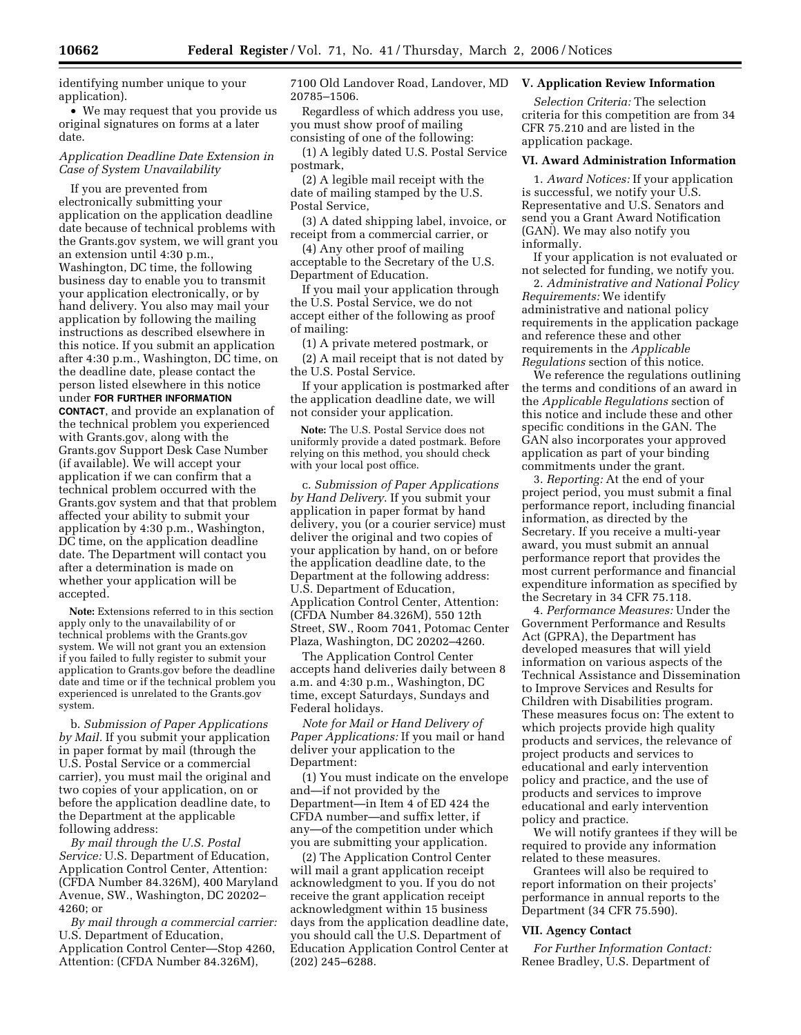identifying number unique to your application).

• We may request that you provide us original signatures on forms at a later date.

## *Application Deadline Date Extension in Case of System Unavailability*

If you are prevented from electronically submitting your application on the application deadline date because of technical problems with the Grants.gov system, we will grant you an extension until 4:30 p.m., Washington, DC time, the following business day to enable you to transmit your application electronically, or by hand delivery. You also may mail your application by following the mailing instructions as described elsewhere in this notice. If you submit an application after 4:30 p.m., Washington, DC time, on the deadline date, please contact the person listed elsewhere in this notice under **FOR FURTHER INFORMATION CONTACT**, and provide an explanation of the technical problem you experienced with Grants.gov, along with the Grants.gov Support Desk Case Number (if available). We will accept your application if we can confirm that a technical problem occurred with the Grants.gov system and that that problem affected your ability to submit your application by 4:30 p.m., Washington, DC time, on the application deadline date. The Department will contact you after a determination is made on whether your application will be accepted.

**Note:** Extensions referred to in this section apply only to the unavailability of or technical problems with the Grants.gov system. We will not grant you an extension if you failed to fully register to submit your application to Grants.gov before the deadline date and time or if the technical problem you experienced is unrelated to the Grants.gov system.

b. *Submission of Paper Applications by Mail.* If you submit your application in paper format by mail (through the U.S. Postal Service or a commercial carrier), you must mail the original and two copies of your application, on or before the application deadline date, to the Department at the applicable following address:

*By mail through the U.S. Postal Service:* U.S. Department of Education, Application Control Center, Attention: (CFDA Number 84.326M), 400 Maryland Avenue, SW., Washington, DC 20202– 4260; or

*By mail through a commercial carrier:*  U.S. Department of Education, Application Control Center—Stop 4260, Attention: (CFDA Number 84.326M),

7100 Old Landover Road, Landover, MD 20785–1506.

Regardless of which address you use, you must show proof of mailing consisting of one of the following:

(1) A legibly dated U.S. Postal Service postmark,

(2) A legible mail receipt with the date of mailing stamped by the U.S. Postal Service,

(3) A dated shipping label, invoice, or receipt from a commercial carrier, or

(4) Any other proof of mailing acceptable to the Secretary of the U.S. Department of Education.

If you mail your application through the U.S. Postal Service, we do not accept either of the following as proof of mailing:

(1) A private metered postmark, or

(2) A mail receipt that is not dated by the U.S. Postal Service.

If your application is postmarked after the application deadline date, we will not consider your application.

**Note:** The U.S. Postal Service does not uniformly provide a dated postmark. Before relying on this method, you should check with your local post office.

c. *Submission of Paper Applications by Hand Delivery*. If you submit your application in paper format by hand delivery, you (or a courier service) must deliver the original and two copies of your application by hand, on or before the application deadline date, to the Department at the following address: U.S. Department of Education, Application Control Center, Attention: (CFDA Number 84.326M), 550 12th Street, SW., Room 7041, Potomac Center Plaza, Washington, DC 20202–4260.

The Application Control Center accepts hand deliveries daily between 8 a.m. and 4:30 p.m., Washington, DC time, except Saturdays, Sundays and Federal holidays.

*Note for Mail or Hand Delivery of Paper Applications:* If you mail or hand deliver your application to the Department:

(1) You must indicate on the envelope and—if not provided by the Department—in Item 4 of ED 424 the CFDA number—and suffix letter, if any—of the competition under which you are submitting your application.

(2) The Application Control Center will mail a grant application receipt acknowledgment to you. If you do not receive the grant application receipt acknowledgment within 15 business days from the application deadline date, you should call the U.S. Department of Education Application Control Center at (202) 245–6288.

# **V. Application Review Information**

*Selection Criteria:* The selection criteria for this competition are from 34 CFR 75.210 and are listed in the application package.

### **VI. Award Administration Information**

1. *Award Notices:* If your application is successful, we notify your U.S. Representative and U.S. Senators and send you a Grant Award Notification (GAN). We may also notify you informally.

If your application is not evaluated or not selected for funding, we notify you.

2. *Administrative and National Policy Requirements:* We identify administrative and national policy requirements in the application package and reference these and other requirements in the *Applicable Regulations* section of this notice.

We reference the regulations outlining the terms and conditions of an award in the *Applicable Regulations* section of this notice and include these and other specific conditions in the GAN. The GAN also incorporates your approved application as part of your binding commitments under the grant.

3. *Reporting:* At the end of your project period, you must submit a final performance report, including financial information, as directed by the Secretary. If you receive a multi-year award, you must submit an annual performance report that provides the most current performance and financial expenditure information as specified by the Secretary in 34 CFR 75.118.

4. *Performance Measures:* Under the Government Performance and Results Act (GPRA), the Department has developed measures that will yield information on various aspects of the Technical Assistance and Dissemination to Improve Services and Results for Children with Disabilities program. These measures focus on: The extent to which projects provide high quality products and services, the relevance of project products and services to educational and early intervention policy and practice, and the use of products and services to improve educational and early intervention policy and practice.

We will notify grantees if they will be required to provide any information related to these measures.

Grantees will also be required to report information on their projects' performance in annual reports to the Department (34 CFR 75.590).

### **VII. Agency Contact**

*For Further Information Contact:*  Renee Bradley, U.S. Department of